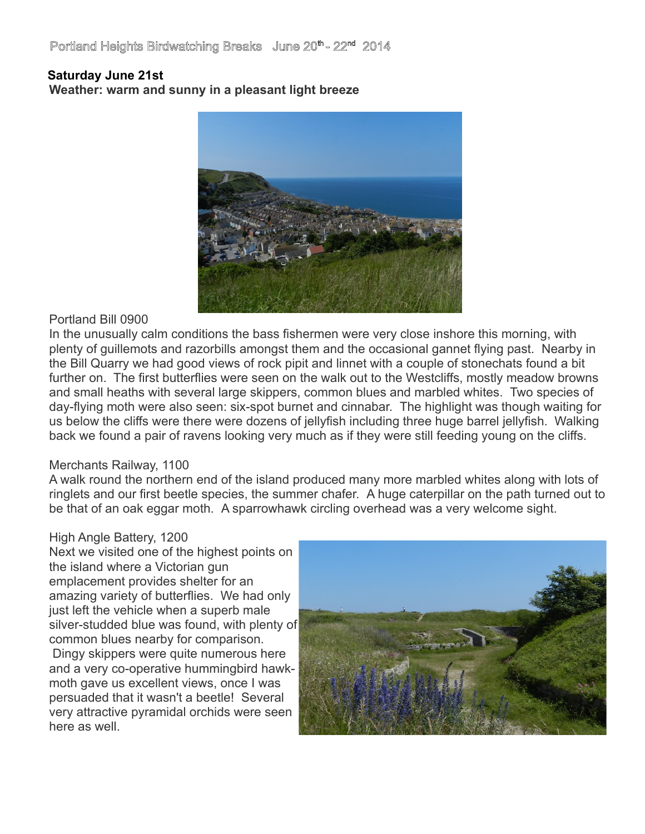# Portland Heights Birdwatching Breaks June 20<sup>th</sup> - 22<sup>nd</sup> 2014

#### **Saturday June 21st**

**Weather: warm and sunny in a pleasant light breeze**



#### Portland Bill 0900

In the unusually calm conditions the bass fishermen were very close inshore this morning, with plenty of guillemots and razorbills amongst them and the occasional gannet flying past. Nearby in the Bill Quarry we had good views of rock pipit and linnet with a couple of stonechats found a bit further on. The first butterflies were seen on the walk out to the Westcliffs, mostly meadow browns and small heaths with several large skippers, common blues and marbled whites. Two species of day-flying moth were also seen: six-spot burnet and cinnabar. The highlight was though waiting for us below the cliffs were there were dozens of jellyfish including three huge barrel jellyfish. Walking back we found a pair of ravens looking very much as if they were still feeding young on the cliffs.

#### Merchants Railway, 1100

A walk round the northern end of the island produced many more marbled whites along with lots of ringlets and our first beetle species, the summer chafer. A huge caterpillar on the path turned out to be that of an oak eggar moth. A sparrowhawk circling overhead was a very welcome sight.

#### High Angle Battery, 1200

Next we visited one of the highest points on the island where a Victorian gun emplacement provides shelter for an amazing variety of butterflies. We had only just left the vehicle when a superb male silver-studded blue was found, with plenty of common blues nearby for comparison. Dingy skippers were quite numerous here and a very co-operative hummingbird hawkmoth gave us excellent views, once I was persuaded that it wasn't a beetle! Several very attractive pyramidal orchids were seen here as well

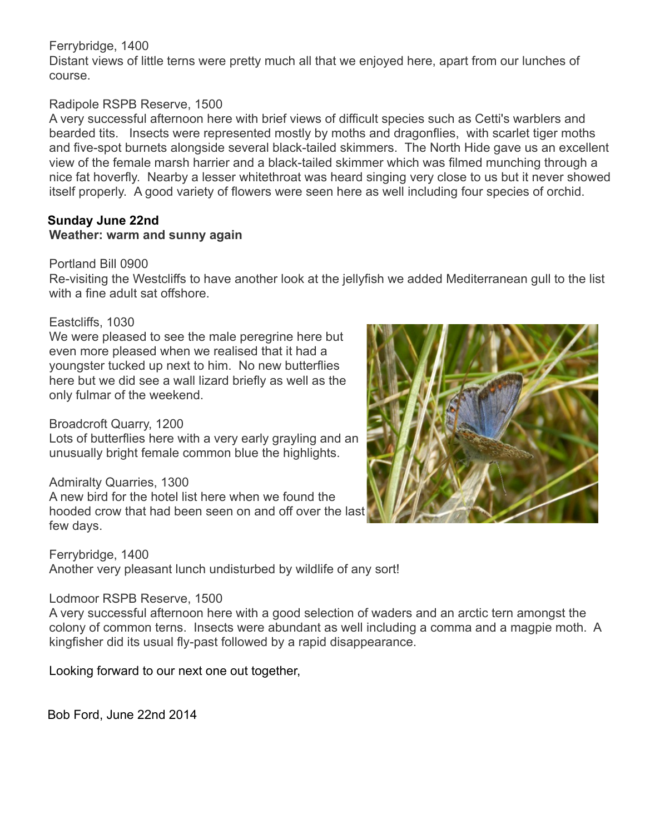### Ferrybridge, 1400

Distant views of little terns were pretty much all that we enjoyed here, apart from our lunches of course.

## Radipole RSPB Reserve, 1500

A very successful afternoon here with brief views of difficult species such as Cetti's warblers and bearded tits. Insects were represented mostly by moths and dragonflies, with scarlet tiger moths and five-spot burnets alongside several black-tailed skimmers. The North Hide gave us an excellent view of the female marsh harrier and a black-tailed skimmer which was filmed munching through a nice fat hoverfly. Nearby a lesser whitethroat was heard singing very close to us but it never showed itself properly. A good variety of flowers were seen here as well including four species of orchid.

#### **Sunday June 22nd Weather: warm and sunny again**

#### Portland Bill 0900

Re-visiting the Westcliffs to have another look at the jellyfish we added Mediterranean gull to the list with a fine adult sat offshore.

#### Eastcliffs, 1030

We were pleased to see the male peregrine here but even more pleased when we realised that it had a youngster tucked up next to him. No new butterflies here but we did see a wall lizard briefly as well as the only fulmar of the weekend.

### Broadcroft Quarry, 1200

Lots of butterflies here with a very early grayling and an unusually bright female common blue the highlights.

#### Admiralty Quarries, 1300

A new bird for the hotel list here when we found the hooded crow that had been seen on and off over the last few days.

Ferrybridge, 1400 Another very pleasant lunch undisturbed by wildlife of any sort!

# Lodmoor RSPB Reserve, 1500

A very successful afternoon here with a good selection of waders and an arctic tern amongst the colony of common terns. Insects were abundant as well including a comma and a magpie moth. A kingfisher did its usual fly-past followed by a rapid disappearance.

Looking forward to our next one out together,

Bob Ford, June 22nd 2014

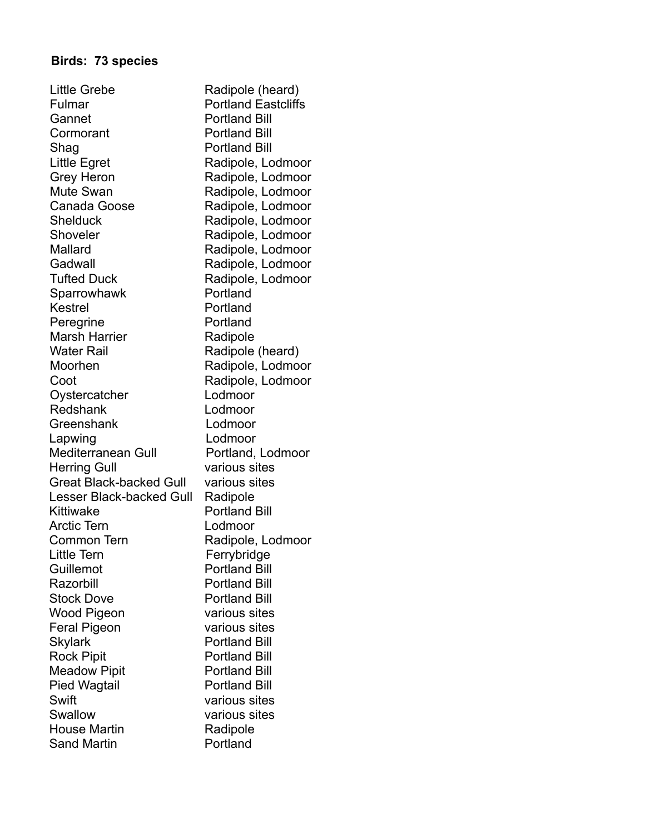# **Birds: 73 species**

| <b>Little Grebe</b>             | Radipole (heard)           |
|---------------------------------|----------------------------|
| Fulmar                          | <b>Portland Eastcliffs</b> |
| Gannet                          | <b>Portland Bill</b>       |
| Cormorant                       | <b>Portland Bill</b>       |
| Shag                            | <b>Portland Bill</b>       |
| Little Egret                    | Radipole, Lodmoor          |
| <b>Grey Heron</b>               | Radipole, Lodmoor          |
| Mute Swan                       | Radipole, Lodmoor          |
| Canada Goose                    | Radipole, Lodmoor          |
| Shelduck                        | Radipole, Lodmoor          |
| Shoveler                        | Radipole, Lodmoor          |
| Mallard                         | Radipole, Lodmoor          |
| Gadwall                         | Radipole, Lodmoor          |
| <b>Tufted Duck</b>              | Radipole, Lodmoor          |
| Sparrowhawk                     | Portland                   |
| <b>Kestrel</b>                  | Portland                   |
| Peregrine                       | Portland                   |
| <b>Marsh Harrier</b>            |                            |
| <b>Water Rail</b>               | Radipole                   |
|                                 | Radipole (heard)           |
| Moorhen                         | Radipole, Lodmoor          |
| Coot                            | Radipole, Lodmoor          |
| Oystercatcher                   | Lodmoor                    |
| Redshank                        | Lodmoor                    |
| Greenshank                      | Lodmoor                    |
| Lapwing                         | Lodmoor                    |
| Mediterranean Gull              | Portland, Lodmoor          |
| <b>Herring Gull</b>             | various sites              |
| <b>Great Black-backed Gull</b>  | various sites              |
| <b>Lesser Black-backed Gull</b> | Radipole                   |
| Kittiwake                       | <b>Portland Bill</b>       |
| <b>Arctic Tern</b>              | Lodmoor                    |
| Common Tern                     | Radipole, Lodmoor          |
| <b>Little Tern</b>              | Ferrybridge                |
| Guillemot                       | <b>Portland Bill</b>       |
| Razorbill                       | <b>Portland Bill</b>       |
| <b>Stock Dove</b>               | <b>Portland Bill</b>       |
| Wood Pigeon                     | various sites              |
| <b>Feral Pigeon</b>             | various sites              |
| <b>Skylark</b>                  | <b>Portland Bill</b>       |
| <b>Rock Pipit</b>               | <b>Portland Bill</b>       |
| <b>Meadow Pipit</b>             | <b>Portland Bill</b>       |
| Pied Wagtail                    | <b>Portland Bill</b>       |
| Swift                           | various sites              |
| Swallow                         | various sites              |
| <b>House Martin</b>             | Radipole                   |
| Sand Martin                     | Portland                   |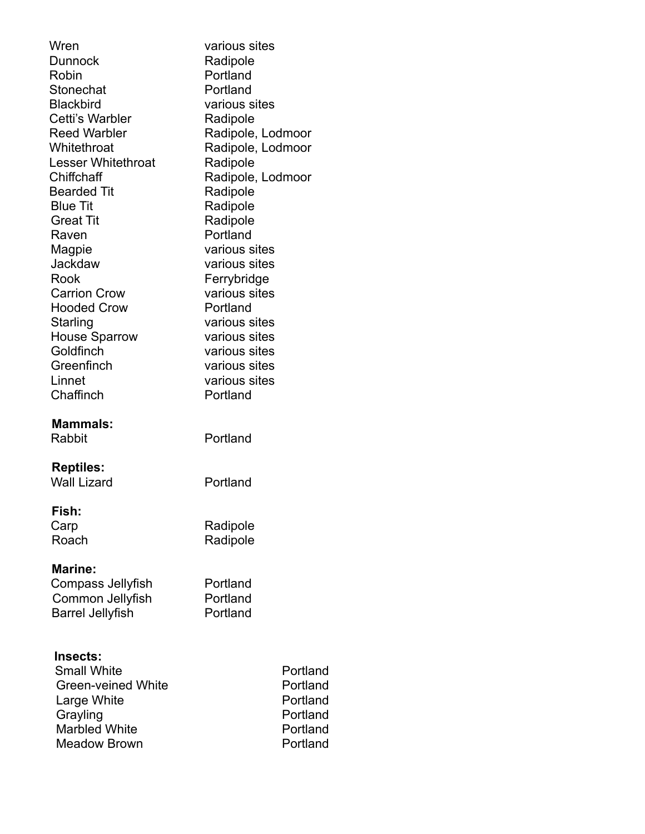| Wren<br><b>Dunnock</b><br>Robin<br>Stonechat<br><b>Blackbird</b><br>Cetti's Warbler<br><b>Reed Warbler</b><br>Whitethroat<br><b>Lesser Whitethroat</b><br>Chiffchaff<br><b>Bearded Tit</b><br><b>Blue Tit</b><br><b>Great Tit</b><br>Raven<br>Magpie<br>Jackdaw<br>Rook<br><b>Carrion Crow</b><br><b>Hooded Crow</b><br>Starling<br><b>House Sparrow</b><br>Goldfinch<br>Greenfinch<br>Linnet<br>Chaffinch | various sites<br>Radipole<br>Portland<br>Portland<br>various sites<br>Radipole<br>Radipole, Lodmoor<br>Radipole, Lodmoor<br>Radipole<br>Radipole, Lodmoor<br>Radipole<br>Radipole<br>Radipole<br>Portland<br>various sites<br>various sites<br>Ferrybridge<br>various sites<br>Portland<br>various sites<br>various sites<br>various sites<br>various sites<br>various sites<br>Portland |
|------------------------------------------------------------------------------------------------------------------------------------------------------------------------------------------------------------------------------------------------------------------------------------------------------------------------------------------------------------------------------------------------------------|------------------------------------------------------------------------------------------------------------------------------------------------------------------------------------------------------------------------------------------------------------------------------------------------------------------------------------------------------------------------------------------|
| <b>Mammals:</b><br>Rabbit                                                                                                                                                                                                                                                                                                                                                                                  | Portland                                                                                                                                                                                                                                                                                                                                                                                 |
| <b>Reptiles:</b><br><b>Wall Lizard</b>                                                                                                                                                                                                                                                                                                                                                                     | Portland                                                                                                                                                                                                                                                                                                                                                                                 |
| Fish:<br>Carp<br>Roach                                                                                                                                                                                                                                                                                                                                                                                     | Radipole<br>Radipole                                                                                                                                                                                                                                                                                                                                                                     |
| <b>Marine:</b><br>Compass Jellyfish<br>Common Jellyfish<br><b>Barrel Jellyfish</b>                                                                                                                                                                                                                                                                                                                         | Portland<br>Portland<br>Portland                                                                                                                                                                                                                                                                                                                                                         |
| Insects:<br><b>Small White</b><br><b>Green-veined White</b><br>Large White<br>Grayling<br><b>Marbled White</b><br><b>Meadow Brown</b>                                                                                                                                                                                                                                                                      | Portland<br>Portland<br>Portland<br>Portland<br>Portland<br>Portland                                                                                                                                                                                                                                                                                                                     |

Meadow Brown